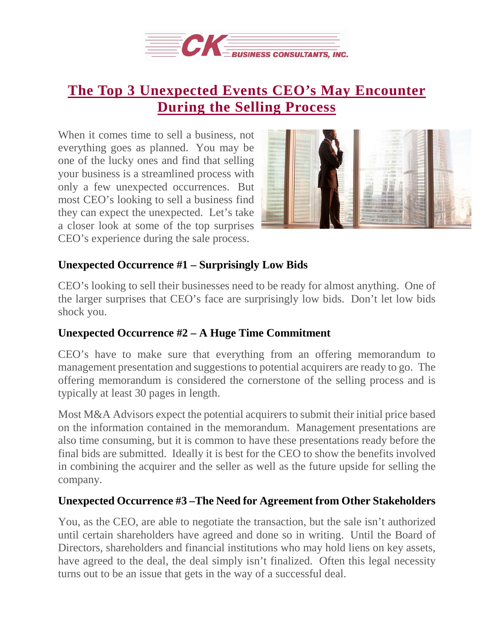

## **The Top 3 [Unexpected](https://deal-studio.com/top-3-unexpected-events-ceos-may-encounter-selling-process/) Events CEO's May Encounter During the Selling [Process](https://deal-studio.com/top-3-unexpected-events-ceos-may-encounter-selling-process/)**

When it comes time to sell a business, not everything goes as planned. You may be one of the lucky ones and find that selling your business is a streamlined process with only a few unexpected occurrences. But most CEO's looking to sell a business find they can expect the unexpected. Let's take a closer look at some of the top surprises CEO's experience during the sale process.



## **Unexpected Occurrence #1 – Surprisingly Low Bids**

CEO's looking to sell their businesses need to be ready for almost anything. One of the larger surprises that CEO's face are surprisingly low bids. Don't let low bids shock you.

## **Unexpected Occurrence #2 – A Huge Time Commitment**

CEO's have to make sure that everything from an offering memorandum to management presentation and suggestions to potential acquirers are ready to go. The offering memorandum is considered the cornerstone of the selling process and is typically at least 30 pages in length.

Most M&A Advisors expect the potential acquirers to submit their initial price based on the information contained in the memorandum. Management presentations are also time consuming, but it is common to have these presentations ready before the final bids are submitted. Ideally it is best for the CEO to show the benefits involved in combining the acquirer and the seller as well as the future upside for selling the company.

## **Unexpected Occurrence #3 –The Need for Agreement from Other Stakeholders**

You, as the CEO, are able to negotiate the transaction, but the sale isn't authorized until certain shareholders have agreed and done so in writing. Until the Board of Directors, shareholders and financial institutions who may hold liens on key assets, have agreed to the deal, the deal simply isn't finalized. Often this legal necessity turns out to be an issue that gets in the way of a successful deal.